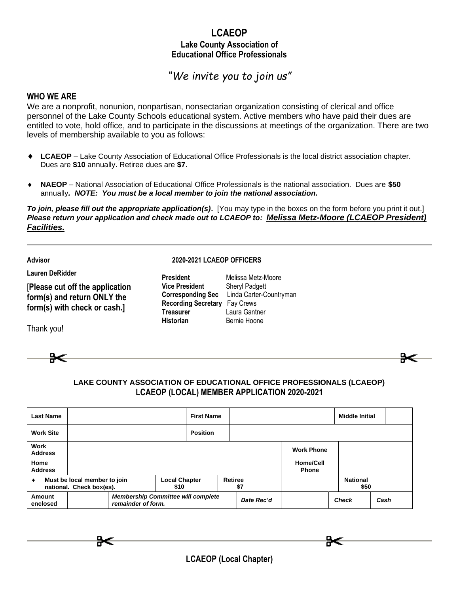### **LCAEOP Lake County Association of Educational Office Professionals**

# *"We invite you to join us"*

#### **WHO WE ARE**

We are a nonprofit, nonunion, nonpartisan, nonsectarian organization consisting of clerical and office personnel of the Lake County Schools educational system. Active members who have paid their dues are entitled to vote, hold office, and to participate in the discussions at meetings of the organization. There are two levels of membership available to you as follows:

- **LCAEOP** Lake County Association of Educational Office Professionals is the local district association chapter. Dues are **\$10** annually. Retiree dues are **\$7**.
- **NAEOP** National Association of Educational Office Professionals is the national association. Dues are **\$50** annually*. NOTE: You must be a local member to join the national association.*

*To join, please fill out the appropriate application(s)***.** [You may type in the boxes on the form before you print it out.] *Please return your application and check made out to LCAEOP to: Melissa Metz-Moore (LCAEOP President) Facilities.*

**Advisor**

**Lauren DeRidder**

## [**Please cut off the application form(s) and return ONLY the form(s) with check or cash.]**

Thank you!

#### **2020-2021 LCAEOP OFFICERS**

| President                            | Melissa Metz-Moore                        |
|--------------------------------------|-------------------------------------------|
| Vice President                       | <b>Sheryl Padgett</b>                     |
|                                      | Corresponding Sec Linda Carter-Countryman |
| <b>Recording Secretary</b> Fay Crews |                                           |
| Treasurer                            | Laura Gantner                             |
| Historian                            | Bernie Hoone                              |



| <b>Last Name</b>                                                      | <b>First Name</b>                                               |                      |  |                       | <b>Middle Initial</b>            |                         |      |
|-----------------------------------------------------------------------|-----------------------------------------------------------------|----------------------|--|-----------------------|----------------------------------|-------------------------|------|
| <b>Work Site</b>                                                      |                                                                 | <b>Position</b>      |  |                       |                                  |                         |      |
| <b>Work</b><br><b>Address</b>                                         |                                                                 |                      |  | <b>Work Phone</b>     |                                  |                         |      |
| Home<br><b>Address</b>                                                |                                                                 |                      |  |                       | <b>Home/Cell</b><br><b>Phone</b> |                         |      |
| Must be local member to join<br>٠<br>national. Check box(es).<br>\$10 |                                                                 | <b>Local Chapter</b> |  | <b>Retiree</b><br>\$7 |                                  | <b>National</b><br>\$50 |      |
| Amount<br>enclosed                                                    | <b>Membership Committee will complete</b><br>remainder of form. |                      |  | Date Rec'd            |                                  | <b>Check</b>            | Cash |